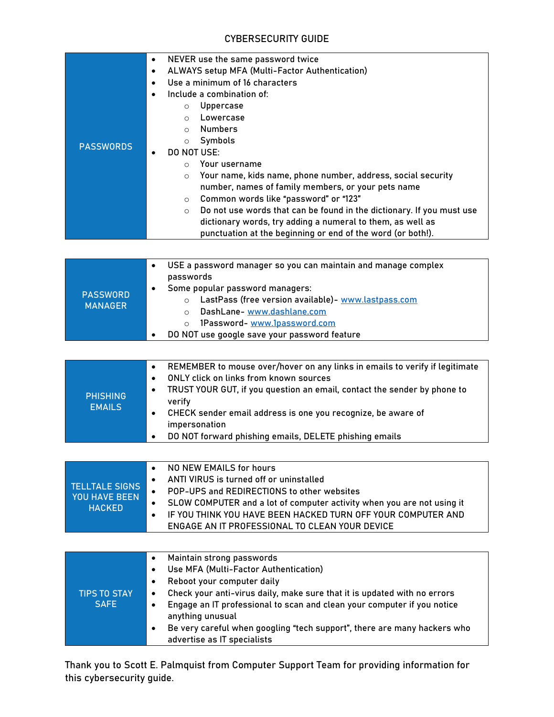## CYBERSECURITY GUIDE

| <b>PASSWORDS</b>                                               | NEVER use the same password twice<br>$\bullet$<br>ALWAYS setup MFA (Multi-Factor Authentication)<br>$\bullet$<br>Use a minimum of 16 characters<br>$\bullet$<br>Include a combination of:<br><b>Uppercase</b><br>$\circ$<br>Lowercase<br>$\circ$<br><b>Numbers</b><br>$\circ$<br>Symbols<br>$\circ$<br>DO NOT USE:<br>Your username<br>$\circ$<br>Your name, kids name, phone number, address, social security<br>$\circ$<br>number, names of family members, or your pets name<br>Common words like "password" or "123"<br>$\circ$<br>Do not use words that can be found in the dictionary. If you must use<br>$\circ$<br>dictionary words, try adding a numeral to them, as well as<br>punctuation at the beginning or end of the word (or both!). |
|----------------------------------------------------------------|------------------------------------------------------------------------------------------------------------------------------------------------------------------------------------------------------------------------------------------------------------------------------------------------------------------------------------------------------------------------------------------------------------------------------------------------------------------------------------------------------------------------------------------------------------------------------------------------------------------------------------------------------------------------------------------------------------------------------------------------------|
| <b>PASSWORD</b><br><b>MANAGER</b>                              | USE a password manager so you can maintain and manage complex<br>$\bullet$<br>passwords<br>Some popular password managers:<br>$\bullet$<br>LastPass (free version available)- www.lastpass.com<br>$\circ$<br>DashLane-www.dashlane.com<br>$\circ$<br>1Password-www.1password.com<br>$\circ$<br>DO NOT use google save your password feature                                                                                                                                                                                                                                                                                                                                                                                                          |
|                                                                |                                                                                                                                                                                                                                                                                                                                                                                                                                                                                                                                                                                                                                                                                                                                                      |
| <b>PHISHING</b><br><b>EMAILS</b>                               | REMEMBER to mouse over/hover on any links in emails to verify if legitimate<br>$\bullet$<br>ONLY click on links from known sources<br>$\bullet$<br>TRUST YOUR GUT, if you question an email, contact the sender by phone to<br>$\bullet$<br>verify<br>CHECK sender email address is one you recognize, be aware of<br>$\bullet$<br>impersonation<br>DO NOT forward phishing emails, DELETE phishing emails                                                                                                                                                                                                                                                                                                                                           |
|                                                                |                                                                                                                                                                                                                                                                                                                                                                                                                                                                                                                                                                                                                                                                                                                                                      |
| <b>TELLTALE SIGNS</b><br><b>YOU HAVE BEEN</b><br><b>HACKED</b> | NO NEW EMAILS for hours<br>$\bullet$<br>ANTI VIRUS is turned off or uninstalled<br>$\bullet$<br>POP-UPS and REDIRECTIONS to other websites<br>SLOW COMPUTER and a lot of computer activity when you are not using it<br>IF YOU THINK YOU HAVE BEEN HACKED TURN OFF YOUR COMPUTER AND<br>$\bullet$<br>ENGAGE AN IT PROFESSIONAL TO CLEAN YOUR DEVICE                                                                                                                                                                                                                                                                                                                                                                                                  |
|                                                                |                                                                                                                                                                                                                                                                                                                                                                                                                                                                                                                                                                                                                                                                                                                                                      |
| <b>TIPS TO STAY</b><br><b>SAFE</b>                             | Maintain strong passwords<br>$\bullet$<br>Use MFA (Multi-Factor Authentication)<br>$\bullet$<br>Reboot your computer daily<br>$\bullet$<br>Check your anti-virus daily, make sure that it is updated with no errors<br>$\bullet$<br>Engage an IT professional to scan and clean your computer if you notice<br>$\bullet$<br>anything unusual<br>Be very careful when googling "tech support", there are many hackers who<br>$\bullet$<br>advertise as IT specialists                                                                                                                                                                                                                                                                                 |

Thank you to Scott E. Palmquist from Computer Support Team for providing information for this cybersecurity guide.